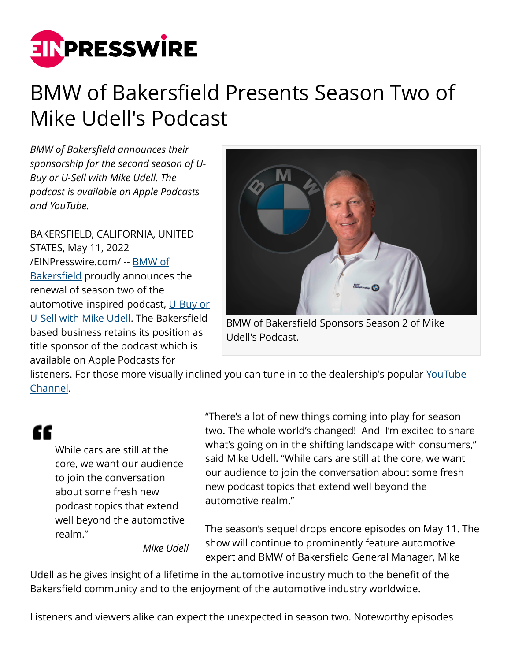

## BMW of Bakersfield Presents Season Two of Mike Udell's Podcast

*BMW of Bakersfield announces their sponsorship for the second season of U-Buy or U-Sell with Mike Udell. The podcast is available on Apple Podcasts and YouTube.*

BAKERSFIELD, CALIFORNIA, UNITED STATES, May 11, 2022 [/EINPresswire.com/](http://www.einpresswire.com) -- [BMW of](https://www.bmwofbakersfield.com/) [Bakersfield](https://www.bmwofbakersfield.com/) proudly announces the renewal of season two of the automotive-inspired podcast, [U-Buy or](http://youtu.be/HvkhpDKRj8c) [U-Sell with Mike Udell.](http://youtu.be/HvkhpDKRj8c) The Bakersfieldbased business retains its position as title sponsor of the podcast which is available on Apple Podcasts for



BMW of Bakersfield Sponsors Season 2 of Mike Udell's Podcast.

listeners. For those more visually inclined you can tune in to the dealership's popular [YouTube](https://www.youtube.com/channel/UCn8Nw_Ah_uryNYJ3h9TPsEg) [Channel](https://www.youtube.com/channel/UCn8Nw_Ah_uryNYJ3h9TPsEg).

## "

While cars are still at the core, we want our audience to join the conversation about some fresh new podcast topics that extend well beyond the automotive realm."

"There's a lot of new things coming into play for season two. The whole world's changed! And I'm excited to share what's going on in the shifting landscape with consumers," said Mike Udell. "While cars are still at the core, we want our audience to join the conversation about some fresh new podcast topics that extend well beyond the automotive realm."

*Mike Udell*

The season's sequel drops encore episodes on May 11. The show will continue to prominently feature automotive expert and BMW of Bakersfield General Manager, Mike

Udell as he gives insight of a lifetime in the automotive industry much to the benefit of the Bakersfield community and to the enjoyment of the automotive industry worldwide.

Listeners and viewers alike can expect the unexpected in season two. Noteworthy episodes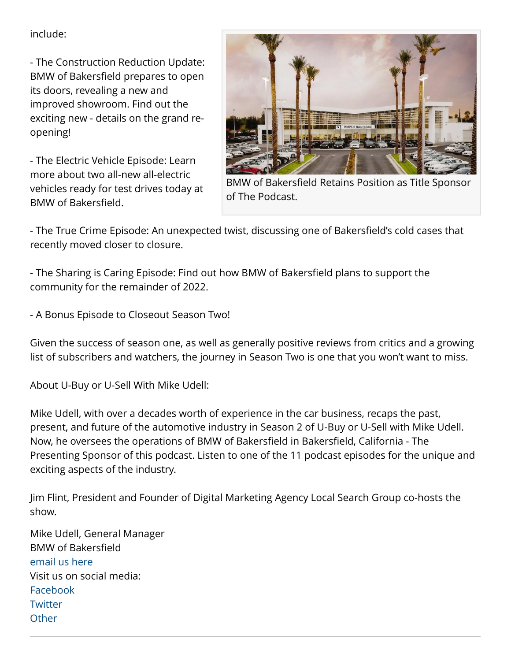include:

- The Construction Reduction Update: BMW of Bakersfield prepares to open its doors, revealing a new and improved showroom. Find out the exciting new - details on the grand reopening!

- The Electric Vehicle Episode: Learn more about two all-new all-electric vehicles ready for test drives today at BMW of Bakersfield.



BMW of Bakersfield Retains Position as Title Sponsor of The Podcast.

- The True Crime Episode: An unexpected twist, discussing one of Bakersfield's cold cases that recently moved closer to closure.

- The Sharing is Caring Episode: Find out how BMW of Bakersfield plans to support the community for the remainder of 2022.

- A Bonus Episode to Closeout Season Two!

Given the success of season one, as well as generally positive reviews from critics and a growing list of subscribers and watchers, the journey in Season Two is one that you won't want to miss.

About U-Buy or U-Sell With Mike Udell:

Mike Udell, with over a decades worth of experience in the car business, recaps the past, present, and future of the automotive industry in Season 2 of U-Buy or U-Sell with Mike Udell. Now, he oversees the operations of BMW of Bakersfield in Bakersfield, California - The Presenting Sponsor of this podcast. Listen to one of the 11 podcast episodes for the unique and exciting aspects of the industry.

Jim Flint, President and Founder of Digital Marketing Agency Local Search Group co-hosts the show.

Mike Udell, General Manager BMW of Bakersfield [email us here](http://www.einpresswire.com/contact_author/3476914) Visit us on social media: [Facebook](https://www.facebook.com/bakersfieldbmw) **[Twitter](https://twitter.com/BMWBakersfield) [Other](https://www.instagram.com/bmwofbakersfield/?hl=en)**